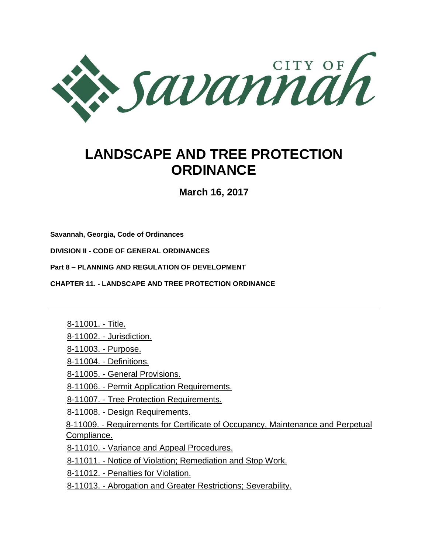

# **LANDSCAPE AND TREE PROTECTION ORDINANCE**

**March 16, 2017**

**[Savannah, Georgia, Code of Ordinances](http://library.municode.com/HTML/11556/book.html)**

**DIVISION II - [CODE OF GENERAL ORDINANCES](http://library.municode.com/HTML/11556/level1/DIVIICOGEOR.html)**

**Part 8 – [PLANNING](http://library.municode.com/HTML/11556/level2/DIVIICOGEOR_PT4PUSE.html) AND REGULATION OF DEVELOPMENT**

**CHAPTER 11. - [LANDSCAPE AND TREE PROTECTION ORDINANCE](http://library.municode.com/HTML/11556/level3/DIVIICOGEOR_PT4PUSE_CH10LATROR.html)** 

8-11001. - Title.

8-11002. - Jurisdiction.

8-11003. - Purpose.

8-11004. - Definitions.

8-11005. - General Provisions.

8-11006. - Permit Application Requirements.

8-11007. - Tree Protection Requirements.

8-11008. - [Design Requirements.](http://library.municode.com/HTML/11556/level3/DIVIICOGEOR_PT4PUSE_CH10LATROR.html#DIVIICOGEOR_PT4PUSE_CH10LATROR_S4-10008DERE)

8-11009. - Requirements for Certificate of Occupancy, Maintenance and Perpetual Compliance.

8-11010. - Variance and Appeal Procedures.

8-11011. - Notice of Violation; Remediation and Stop Work.

8-11012. - Penalties for Violation.

8-11013. - [Abrogation and Greater Restrictions; Severability.](http://library.municode.com/HTML/11556/level3/DIVIICOGEOR_PT4PUSE_CH10LATROR.html#DIVIICOGEOR_PT4PUSE_CH10LATROR_S4-10013ABGRRESE)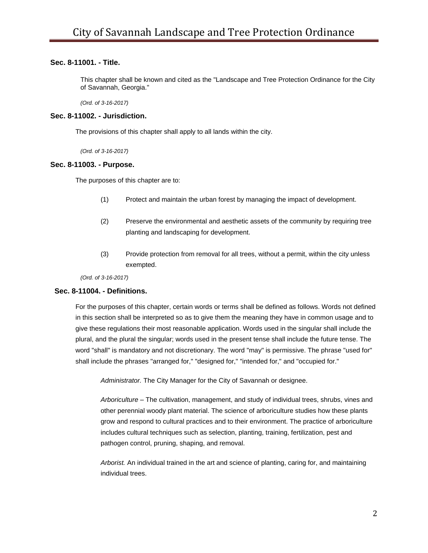# **Sec. 8-11001. - Title.**

This chapter shall be known and cited as the "Landscape and Tree Protection Ordinance for the City of Savannah, Georgia."

*(Ord. of 3-16-2017)*

#### **Sec. 8-11002. - Jurisdiction.**

The provisions of this chapter shall apply to all lands within the city.

*(Ord. of 3-16-2017)*

#### **Sec. 8-11003. - Purpose.**

The purposes of this chapter are to:

- (1) Protect and maintain the urban forest by managing the impact of development.
- (2) Preserve the environmental and aesthetic assets of the community by requiring tree planting and landscaping for development.
- (3) Provide protection from removal for all trees, without a permit, within the city unless exempted.

*(Ord. of 3-16-2017)*

## **Sec. 8-11004. - Definitions.**

For the purposes of this chapter, certain words or terms shall be defined as follows. Words not defined in this section shall be interpreted so as to give them the meaning they have in common usage and to give these regulations their most reasonable application. Words used in the singular shall include the plural, and the plural the singular; words used in the present tense shall include the future tense. The word "shall" is mandatory and not discretionary. The word "may" is permissive. The phrase "used for" shall include the phrases "arranged for," "designed for," "intended for," and "occupied for."

*Administrator.* The City Manager for the City of Savannah or designee.

*Arboriculture –* The cultivation, management, and study of individual trees, shrubs, vines and other perennial woody plant material. The science of arboriculture studies how these plants grow and respond to cultural practices and to their environment. The practice of arboriculture includes cultural techniques such as selection, planting, training[, fertilization,](http://en.wikipedia.org/wiki/Fertilizer) pest and [pathogen](http://en.wikipedia.org/wiki/Pathogen) control, [pruning,](http://en.wikipedia.org/wiki/Pruning) [shaping,](http://en.wikipedia.org/wiki/Tree_shaping) and removal.

*Arborist.* An individual trained in the art and science of planting, caring for, and maintaining individual trees.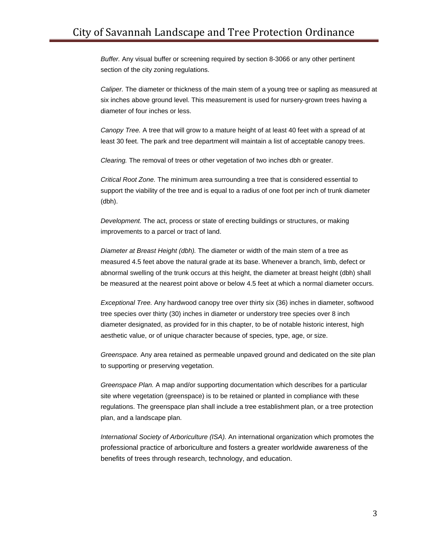*Buffer.* Any visual buffer or screening required by section 8-3066 or any other pertinent section of the city zoning regulations.

*Caliper.* The diameter or thickness of the main stem of a young tree or sapling as measured at six inches above ground level. This measurement is used for nursery-grown trees having a diameter of four inches or less.

*Canopy Tree.* A tree that will grow to a mature height of at least 40 feet with a spread of at least 30 feet. The park and tree department will maintain a list of acceptable canopy trees.

*Clearing.* The removal of trees or other vegetation of two inches dbh or greater.

*Critical Root Zone.* The minimum area surrounding a tree that is considered essential to support the viability of the tree and is equal to a radius of one foot per inch of trunk diameter (dbh).

*Development.* The act, process or state of erecting buildings or structures, or making improvements to a parcel or tract of land.

*Diameter at Breast Height (dbh).* The diameter or width of the main stem of a tree as measured 4.5 feet above the natural grade at its base. Whenever a branch, limb, defect or abnormal swelling of the trunk occurs at this height, the diameter at breast height (dbh) shall be measured at the nearest point above or below 4.5 feet at which a normal diameter occurs.

*Exceptional Tree.* Any hardwood canopy tree over thirty six (36) inches in diameter, softwood tree species over thirty (30) inches in diameter or understory tree species over 8 inch diameter designated, as provided for in this chapter, to be of notable historic interest, high aesthetic value, or of unique character because of species, type, age, or size.

*Greenspace.* Any area retained as permeable unpaved ground and dedicated on the site plan to supporting or preserving vegetation.

*Greenspace Plan.* A map and/or supporting documentation which describes for a particular site where vegetation (greenspace) is to be retained or planted in compliance with these regulations. The greenspace plan shall include a tree establishment plan, or a tree protection plan, and a landscape plan.

*International Society of Arboriculture (ISA).* An international organization which promotes the professional practice of arboriculture and fosters a greater worldwide awareness of the benefits of trees through research, technology, and education.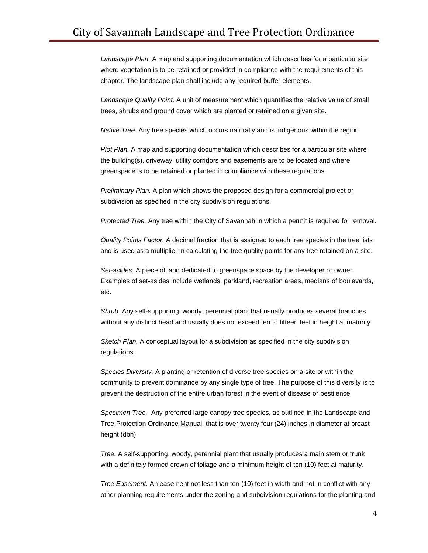*Landscape Plan.* A map and supporting documentation which describes for a particular site where vegetation is to be retained or provided in compliance with the requirements of this chapter. The landscape plan shall include any required buffer elements.

*Landscape Quality Point.* A unit of measurement which quantifies the relative value of small trees, shrubs and ground cover which are planted or retained on a given site.

*Native Tree*. Any tree species which occurs naturally and is indigenous within the region.

*Plot Plan.* A map and supporting documentation which describes for a particular site where the building(s), driveway, utility corridors and easements are to be located and where greenspace is to be retained or planted in compliance with these regulations.

*Preliminary Plan.* A plan which shows the proposed design for a commercial project or subdivision as specified in the city subdivision regulations.

*Protected Tree.* Any tree within the City of Savannah in which a permit is required for removal.

*Quality Points Factor.* A decimal fraction that is assigned to each tree species in the tree lists and is used as a multiplier in calculating the tree quality points for any tree retained on a site.

*Set-asides.* A piece of land dedicated to greenspace space by the developer or owner. Examples of set-asides include wetlands, parkland, recreation areas, medians of boulevards, etc.

*Shrub.* Any self-supporting, woody, perennial plant that usually produces several branches without any distinct head and usually does not exceed ten to fifteen feet in height at maturity.

*Sketch Plan.* A conceptual layout for a subdivision as specified in the city subdivision regulations.

*Species Diversity.* A planting or retention of diverse tree species on a site or within the community to prevent dominance by any single type of tree. The purpose of this diversity is to prevent the destruction of the entire urban forest in the event of disease or pestilence.

*Specimen Tree.* Any preferred large canopy tree species, as outlined in the Landscape and Tree Protection Ordinance Manual, that is over twenty four (24) inches in diameter at breast height (dbh).

*Tree.* A self-supporting, woody, perennial plant that usually produces a main stem or trunk with a definitely formed crown of foliage and a minimum height of ten (10) feet at maturity.

*Tree Easement.* An easement not less than ten (10) feet in width and not in conflict with any other planning requirements under the zoning and subdivision regulations for the planting and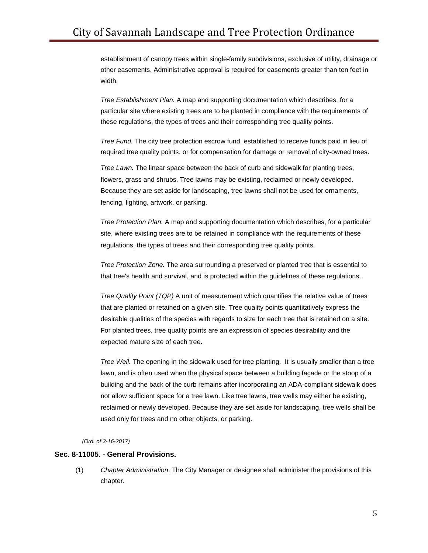establishment of canopy trees within single-family subdivisions, exclusive of utility, drainage or other easements. Administrative approval is required for easements greater than ten feet in width.

*Tree Establishment Plan.* A map and supporting documentation which describes, for a particular site where existing trees are to be planted in compliance with the requirements of these regulations, the types of trees and their corresponding tree quality points.

*Tree Fund.* The city tree protection escrow fund, established to receive funds paid in lieu of required tree quality points, or for compensation for damage or removal of city-owned trees.

*Tree Lawn.* The linear space between the back of curb and sidewalk for planting trees, flowers, grass and shrubs. Tree lawns may be existing, reclaimed or newly developed. Because they are set aside for landscaping, tree lawns shall not be used for ornaments, fencing, lighting, artwork, or parking.

*Tree Protection Plan.* A map and supporting documentation which describes, for a particular site, where existing trees are to be retained in compliance with the requirements of these regulations, the types of trees and their corresponding tree quality points.

*Tree Protection Zone.* The area surrounding a preserved or planted tree that is essential to that tree's health and survival, and is protected within the guidelines of these regulations.

*Tree Quality Point (TQP)* A unit of measurement which quantifies the relative value of trees that are planted or retained on a given site. Tree quality points quantitatively express the desirable qualities of the species with regards to size for each tree that is retained on a site. For planted trees, tree quality points are an expression of species desirability and the expected mature size of each tree.

*Tree Well.* The opening in the sidewalk used for tree planting. It is usually smaller than a tree lawn, and is often used when the physical space between a building façade or the stoop of a building and the back of the curb remains after incorporating an ADA-compliant sidewalk does not allow sufficient space for a tree lawn. Like tree lawns, tree wells may either be existing, reclaimed or newly developed. Because they are set aside for landscaping, tree wells shall be used only for trees and no other objects, or parking.

*(Ord. of 3-16-2017)*

#### **Sec. 8-11005. - General Provisions.**

(1) *Chapter Administration*. The City Manager or designee shall administer the provisions of this chapter.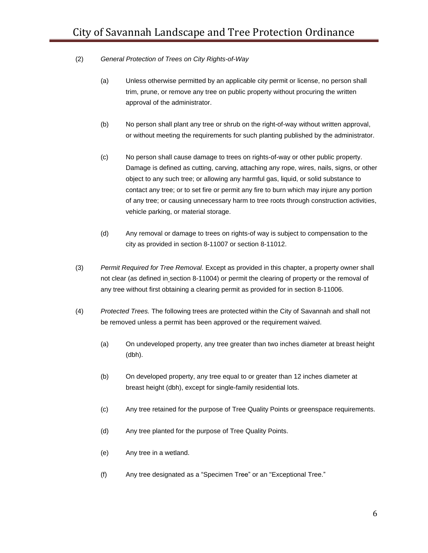## (2) *General Protection of Trees on City Rights-of-Way*

- (a) Unless otherwise permitted by an applicable city permit or license, no person shall trim, prune, or remove any tree on public property without procuring the written approval of the administrator.
- (b) No person shall plant any tree or shrub on the right-of-way without written approval, or without meeting the requirements for such planting published by the administrator.
- (c) No person shall cause damage to trees on rights-of-way or other public property. Damage is defined as cutting, carving, attaching any rope, wires, nails, signs, or other object to any such tree; or allowing any harmful gas, liquid, or solid substance to contact any tree; or to set fire or permit any fire to burn which may injure any portion of any tree; or causing unnecessary harm to tree roots through construction activities, vehicle parking, or material storage.
- (d) Any removal or damage to trees on rights-of way is subject to compensation to the city as provided in section 8-11007 or section 8-11012.
- (3) *Permit Required for Tree Removal.* Except as provided in this chapter, a property owner shall not clear (as defined in section 8-11004) or permit the clearing of property or the removal of any tree without first obtaining a clearing permit as provided for in section 8-11006.
- (4) *Protected Trees.* The following trees are protected within the City of Savannah and shall not be removed unless a permit has been approved or the requirement waived.
	- (a) On undeveloped property, any tree greater than two inches diameter at breast height (dbh).
	- (b) On developed property, any tree equal to or greater than 12 inches diameter at breast height (dbh), except for single-family residential lots.
	- (c) Any tree retained for the purpose of Tree Quality Points or greenspace requirements.
	- (d) Any tree planted for the purpose of Tree Quality Points.
	- (e) Any tree in a wetland.
	- (f) Any tree designated as a "Specimen Tree" or an "Exceptional Tree."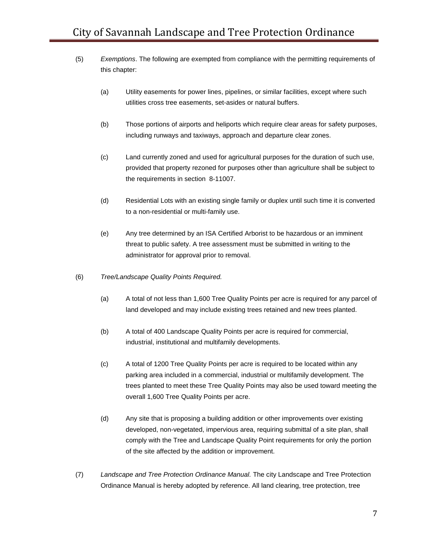- (5) *Exemptions*. The following are exempted from compliance with the permitting requirements of this chapter:
	- (a) Utility easements for power lines, pipelines, or similar facilities, except where such utilities cross tree easements, set-asides or natural buffers.
	- (b) Those portions of airports and heliports which require clear areas for safety purposes, including runways and taxiways, approach and departure clear zones.
	- (c) Land currently zoned and used for agricultural purposes for the duration of such use, provided that property rezoned for purposes other than agriculture shall be subject to the requirements in [section](http://library.municode.com/HTML/11556/level3/DIVIICOGEOR_PT4PUSE_CH10LATROR.html#DIVIICOGEOR_PT4PUSE_CH10LATROR_S4-10007TRPRRE) 8-11007.
	- (d) Residential Lots with an existing single family or duplex until such time it is converted to a non-residential or multi-family use.
	- (e) Any tree determined by an ISA Certified Arborist to be hazardous or an imminent threat to public safety. A tree assessment must be submitted in writing to the administrator for approval prior to removal.
- (6) *Tree/Landscape Quality Points Required.*
	- (a) A total of not less than 1,600 Tree Quality Points per acre is required for any parcel of land developed and may include existing trees retained and new trees planted.
	- (b) A total of 400 Landscape Quality Points per acre is required for commercial, industrial, institutional and multifamily developments.
	- (c) A total of 1200 Tree Quality Points per acre is required to be located within any parking area included in a commercial, industrial or multifamily development. The trees planted to meet these Tree Quality Points may also be used toward meeting the overall 1,600 Tree Quality Points per acre.
	- (d) Any site that is proposing a building addition or other improvements over existing developed, non-vegetated, impervious area, requiring submittal of a site plan, shall comply with the Tree and Landscape Quality Point requirements for only the portion of the site affected by the addition or improvement.
- (7) *Landscape and Tree Protection Ordinance Manual.* The city Landscape and Tree Protection Ordinance Manual is hereby adopted by reference. All land clearing, tree protection, tree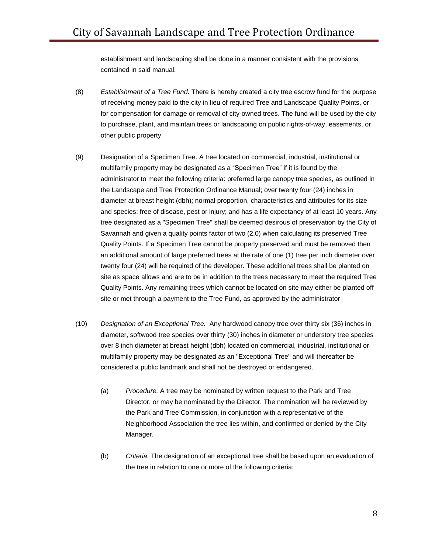establishment and landscaping shall be done in a manner consistent with the provisions contained in said manual.

- (8) *Establishment of a Tree Fund.* There is hereby created a city tree escrow fund for the purpose of receiving money paid to the city in lieu of required Tree and Landscape Quality Points, or for compensation for damage or removal of city-owned trees. The fund will be used by the city to purchase, plant, and maintain trees or landscaping on public rights-of-way, easements, or other public property.
- (9) Designation of a Specimen Tree. A tree located on commercial, industrial, institutional or multifamily property may be designated as a "Specimen Tree" if it is found by the administrator to meet the following criteria: preferred large canopy tree species, as outlined in the Landscape and Tree Protection Ordinance Manual; over twenty four (24) inches in diameter at breast height (dbh); normal proportion, characteristics and attributes for its size and species; free of disease, pest or injury; and has a life expectancy of at least 10 years. Any tree designated as a "Specimen Tree" shall be deemed desirous of preservation by the City of Savannah and given a quality points factor of two (2.0) when calculating its preserved Tree Quality Points. If a Specimen Tree cannot be properly preserved and must be removed then an additional amount of large preferred trees at the rate of one (1) tree per inch diameter over twenty four (24) will be required of the developer. These additional trees shall be planted on site as space allows and are to be in addition to the trees necessary to meet the required Tree Quality Points. Any remaining trees which cannot be located on site may either be planted off site or met through a payment to the Tree Fund, as approved by the administrator
- (10) *Designation of an Exceptional Tree.* Any hardwood canopy tree over thirty six (36) inches in diameter, softwood tree species over thirty (30) inches in diameter or understory tree species over 8 inch diameter at breast height (dbh) located on commercial, industrial, institutional or multifamily property may be designated as an "Exceptional Tree" and will thereafter be considered a public landmark and shall not be destroyed or endangered.
	- (a) *Procedure.* A tree may be nominated by written request to the Park and Tree Director, or may be nominated by the Director. The nomination will be reviewed by the Park and Tree Commission, in conjunction with a representative of the Neighborhood Association the tree lies within, and confirmed or denied by the City Manager.
	- (b) *Criteria.* The designation of an exceptional tree shall be based upon an evaluation of the tree in relation to one or more of the following criteria: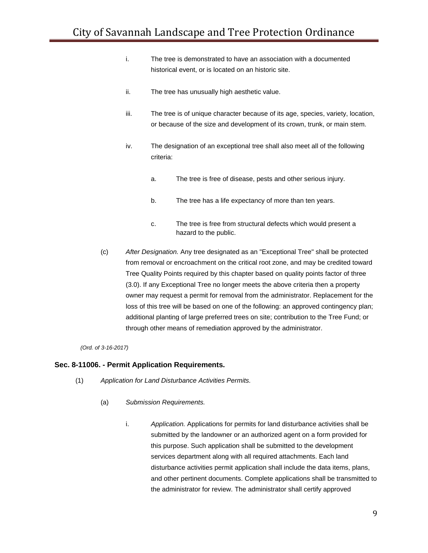- i. The tree is demonstrated to have an association with a documented historical event, or is located on an historic site.
- ii. The tree has unusually high aesthetic value.
- iii. The tree is of unique character because of its age, species, variety, location, or because of the size and development of its crown, trunk, or main stem.
- iv. The designation of an exceptional tree shall also meet all of the following criteria:
	- a. The tree is free of disease, pests and other serious injury.
	- b. The tree has a life expectancy of more than ten years.
	- c. The tree is free from structural defects which would present a hazard to the public.
- (c) *After Designation.* Any tree designated as an "Exceptional Tree" shall be protected from removal or encroachment on the critical root zone, and may be credited toward Tree Quality Points required by this chapter based on quality points factor of three (3.0). If any Exceptional Tree no longer meets the above criteria then a property owner may request a permit for removal from the administrator. Replacement for the loss of this tree will be based on one of the following: an approved contingency plan; additional planting of large preferred trees on site; contribution to the Tree Fund; or through other means of remediation approved by the administrator.

#### **Sec. 8-11006. - Permit Application Requirements.**

- (1) *Application for Land Disturbance Activities Permits.*
	- (a) *Submission Requirements.*
		- i. *Application.* Applications for permits for land disturbance activities shall be submitted by the landowner or an authorized agent on a form provided for this purpose. Such application shall be submitted to the development services department along with all required attachments. Each land disturbance activities permit application shall include the data items, plans, and other pertinent documents. Complete applications shall be transmitted to the administrator for review. The administrator shall certify approved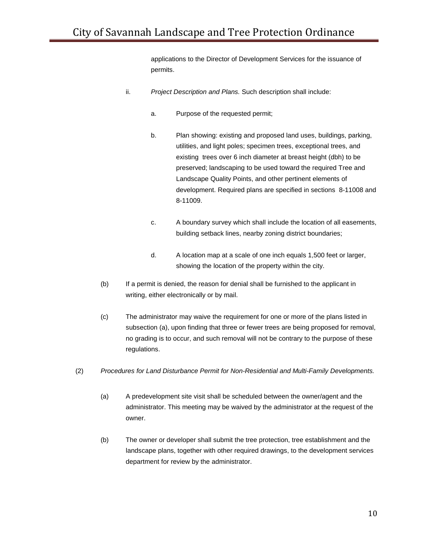applications to the Director of Development Services for the issuance of permits.

- ii. *Project Description and Plans.* Such description shall include:
	- a. Purpose of the requested permit;
	- b. Plan showing: existing and proposed land uses, buildings, parking, utilities, and light poles; specimen trees, exceptional trees, and existing trees over 6 inch diameter at breast height (dbh) to be preserved; landscaping to be used toward the required Tree and Landscape Quality Points, and other pertinent elements of development. Required plans are specified in section[s](http://library.municode.com/HTML/11556/level3/DIVIICOGEOR_PT4PUSE_CH10LATROR.html#DIVIICOGEOR_PT4PUSE_CH10LATROR_S4-10008DERE) 8-11008 an[d](http://library.municode.com/HTML/11556/level3/DIVIICOGEOR_PT4PUSE_CH10LATROR.html#DIVIICOGEOR_PT4PUSE_CH10LATROR_S4-10009RECEOCMAPECO) 8-11009.
	- c. A boundary survey which shall include the location of all easements, building setback lines, nearby zoning district boundaries;
	- d. A location map at a scale of one inch equals 1,500 feet or larger, showing the location of the property within the city.
- (b) If a permit is denied, the reason for denial shall be furnished to the applicant in writing, either electronically or by mail.
- (c) The administrator may waive the requirement for one or more of the plans listed in subsection (a), upon finding that three or fewer trees are being proposed for removal, no grading is to occur, and such removal will not be contrary to the purpose of these regulations.
- (2) *Procedures for Land Disturbance Permit for Non-Residential and Multi-Family Developments.*
	- (a) A predevelopment site visit shall be scheduled between the owner/agent and the administrator. This meeting may be waived by the administrator at the request of the owner.
	- (b) The owner or developer shall submit the tree protection, tree establishment and the landscape plans, together with other required drawings, to the development services department for review by the administrator.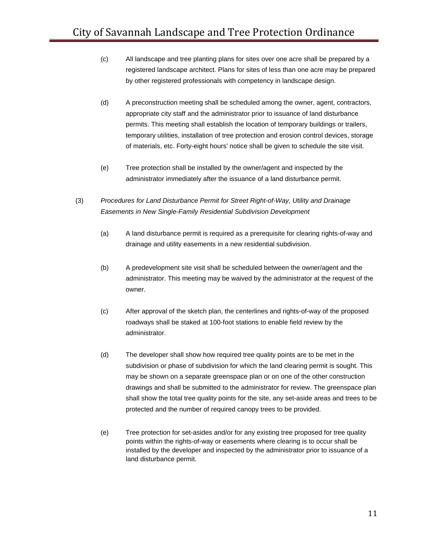- (c) All landscape and tree planting plans for sites over one acre shall be prepared by a registered landscape architect. Plans for sites of less than one acre may be prepared by other registered professionals with competency in landscape design.
- (d) A preconstruction meeting shall be scheduled among the owner, agent, contractors, appropriate city staff and the administrator prior to issuance of land disturbance permits. This meeting shall establish the location of temporary buildings or trailers, temporary utilities, installation of tree protection and erosion control devices, storage of materials, etc. Forty-eight hours' notice shall be given to schedule the site visit.
- (e) Tree protection shall be installed by the owner/agent and inspected by the administrator immediately after the issuance of a land disturbance permit.
- (3) *Procedures for Land Disturbance Permit for Street Right-of-Way, Utility and Drainage Easements in New Single-Family Residential Subdivision Development*
	- (a) A land disturbance permit is required as a prerequisite for clearing rights-of-way and drainage and utility easements in a new residential subdivision.
	- (b) A predevelopment site visit shall be scheduled between the owner/agent and the administrator. This meeting may be waived by the administrator at the request of the owner.
	- (c) After approval of the sketch plan, the centerlines and rights-of-way of the proposed roadways shall be staked at 100-foot stations to enable field review by the administrator.
	- (d) The developer shall show how required tree quality points are to be met in the subdivision or phase of subdivision for which the land clearing permit is sought. This may be shown on a separate greenspace plan or on one of the other construction drawings and shall be submitted to the administrator for review. The greenspace plan shall show the total tree quality points for the site, any set-aside areas and trees to be protected and the number of required canopy trees to be provided.
	- (e) Tree protection for set-asides and/or for any existing tree proposed for tree quality points within the rights-of-way or easements where clearing is to occur shall be installed by the developer and inspected by the administrator prior to issuance of a land disturbance permit.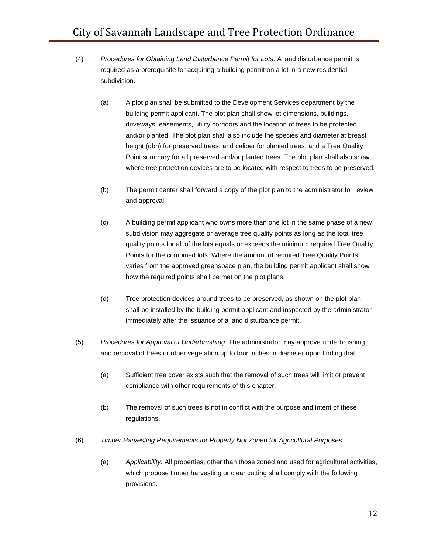- (4) *Procedures for Obtaining Land Disturbance Permit for Lots.* A land disturbance permit is required as a prerequisite for acquiring a building permit on a lot in a new residential subdivision.
	- (a) A plot plan shall be submitted to the Development Services department by the building permit applicant. The plot plan shall show lot dimensions, buildings, driveways, easements, utility corridors and the location of trees to be protected and/or planted. The plot plan shall also include the species and diameter at breast height (dbh) for preserved trees, and caliper for planted trees, and a Tree Quality Point summary for all preserved and/or planted trees. The plot plan shall also show where tree protection devices are to be located with respect to trees to be preserved.
	- (b) The permit center shall forward a copy of the plot plan to the administrator for review and approval.
	- (c) A building permit applicant who owns more than one lot in the same phase of a new subdivision may aggregate or average tree quality points as long as the total tree quality points for all of the lots equals or exceeds the minimum required Tree Quality Points for the combined lots. Where the amount of required Tree Quality Points varies from the approved greenspace plan, the building permit applicant shall show how the required points shall be met on the plot plans.
	- (d) Tree protection devices around trees to be preserved, as shown on the plot plan, shall be installed by the building permit applicant and inspected by the administrator immediately after the issuance of a land disturbance permit.
- (5) *Procedures for Approval of Underbrushing.* The administrator may approve underbrushing and removal of trees or other vegetation up to four inches in diameter upon finding that:
	- (a) Sufficient tree cover exists such that the removal of such trees will limit or prevent compliance with other requirements of this chapter.
	- (b) The removal of such trees is not in conflict with the purpose and intent of these regulations.
- (6) *Timber Harvesting Requirements for Property Not Zoned for Agricultural Purposes.*
	- (a) *Applicability.* All properties, other than those zoned and used for agricultural activities, which propose timber harvesting or clear cutting shall comply with the following provisions.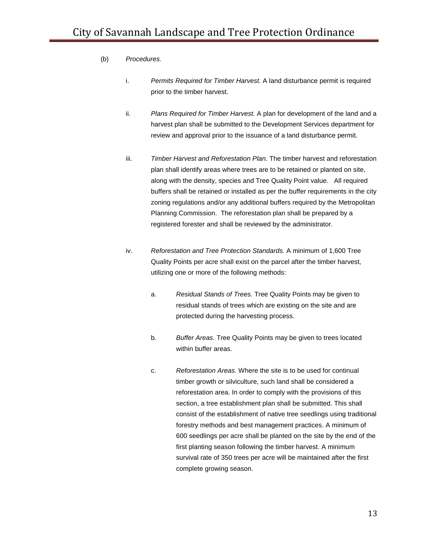- (b) *Procedures.*
	- i. *Permits Required for Timber Harvest.* A land disturbance permit is required prior to the timber harvest.
	- ii. *Plans Required for Timber Harvest.* A plan for development of the land and a harvest plan shall be submitted to the Development Services department for review and approval prior to the issuance of a land disturbance permit.
	- iii. *Timber Harvest and Reforestation Plan.* The timber harvest and reforestation plan shall identify areas where trees are to be retained or planted on site, along with the density, species and Tree Quality Point value. All required buffers shall be retained or installed as per the buffer requirements in the city zoning regulations and/or any additional buffers required by the Metropolitan Planning Commission. The reforestation plan shall be prepared by a registered forester and shall be reviewed by the administrator.
	- iv. *Reforestation and Tree Protection Standards.* A minimum of 1,600 Tree Quality Points per acre shall exist on the parcel after the timber harvest, utilizing one or more of the following methods:
		- a. *Residual Stands of Trees.* Tree Quality Points may be given to residual stands of trees which are existing on the site and are protected during the harvesting process.
		- b. *Buffer Areas.* Tree Quality Points may be given to trees located within buffer areas.
		- c. *Reforestation Areas.* Where the site is to be used for continual timber growth or silviculture, such land shall be considered a reforestation area. In order to comply with the provisions of this section, a tree establishment plan shall be submitted. This shall consist of the establishment of native tree seedlings using traditional forestry methods and best management practices. A minimum of 600 seedlings per acre shall be planted on the site by the end of the first planting season following the timber harvest. A minimum survival rate of 350 trees per acre will be maintained after the first complete growing season.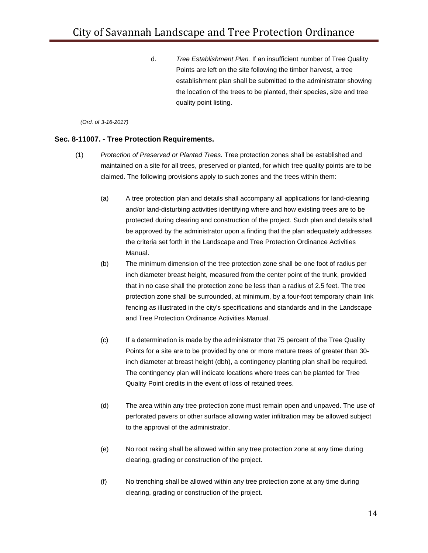d. *Tree Establishment Plan.* If an insufficient number of Tree Quality Points are left on the site following the timber harvest, a tree establishment plan shall be submitted to the administrator showing the location of the trees to be planted, their species, size and tree quality point listing.

#### *(Ord. of 3-16-2017)*

#### **Sec. 8-11007. - Tree Protection Requirements.**

- (1) *Protection of Preserved or Planted Trees.* Tree protection zones shall be established and maintained on a site for all trees, preserved or planted, for which tree quality points are to be claimed. The following provisions apply to such zones and the trees within them:
	- (a) A tree protection plan and details shall accompany all applications for land-clearing and/or land-disturbing activities identifying where and how existing trees are to be protected during clearing and construction of the project. Such plan and details shall be approved by the administrator upon a finding that the plan adequately addresses the criteria set forth in the Landscape and Tree Protection Ordinance Activities Manual.
	- (b) The minimum dimension of the tree protection zone shall be one foot of radius per inch diameter breast height, measured from the center point of the trunk, provided that in no case shall the protection zone be less than a radius of 2.5 feet. The tree protection zone shall be surrounded, at minimum, by a four-foot temporary chain link fencing as illustrated in the city's specifications and standards and in the Landscape and Tree Protection Ordinance Activities Manual.
	- (c) If a determination is made by the administrator that 75 percent of the Tree Quality Points for a site are to be provided by one or more mature trees of greater than 30 inch diameter at breast height (dbh), a contingency planting plan shall be required. The contingency plan will indicate locations where trees can be planted for Tree Quality Point credits in the event of loss of retained trees.
	- (d) The area within any tree protection zone must remain open and unpaved. The use of perforated pavers or other surface allowing water infiltration may be allowed subject to the approval of the administrator.
	- (e) No root raking shall be allowed within any tree protection zone at any time during clearing, grading or construction of the project.
	- (f) No trenching shall be allowed within any tree protection zone at any time during clearing, grading or construction of the project.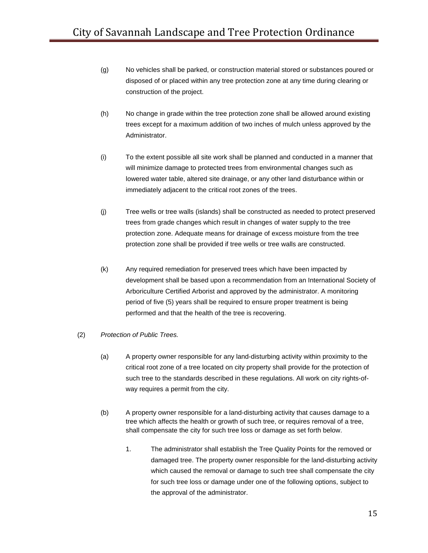- (g) No vehicles shall be parked, or construction material stored or substances poured or disposed of or placed within any tree protection zone at any time during clearing or construction of the project.
- (h) No change in grade within the tree protection zone shall be allowed around existing trees except for a maximum addition of two inches of mulch unless approved by the Administrator.
- (i) To the extent possible all site work shall be planned and conducted in a manner that will minimize damage to protected trees from environmental changes such as lowered water table, altered site drainage, or any other land disturbance within or immediately adjacent to the critical root zones of the trees.
- (j) Tree wells or tree walls (islands) shall be constructed as needed to protect preserved trees from grade changes which result in changes of water supply to the tree protection zone. Adequate means for drainage of excess moisture from the tree protection zone shall be provided if tree wells or tree walls are constructed.
- (k) Any required remediation for preserved trees which have been impacted by development shall be based upon a recommendation from an International Society of Arboriculture Certified Arborist and approved by the administrator. A monitoring period of five (5) years shall be required to ensure proper treatment is being performed and that the health of the tree is recovering.
- (2) *Protection of Public Trees.*
	- (a) A property owner responsible for any land-disturbing activity within proximity to the critical root zone of a tree located on city property shall provide for the protection of such tree to the standards described in these regulations. All work on city rights-ofway requires a permit from the city.
	- (b) A property owner responsible for a land-disturbing activity that causes damage to a tree which affects the health or growth of such tree, or requires removal of a tree, shall compensate the city for such tree loss or damage as set forth below.
		- 1. The administrator shall establish the Tree Quality Points for the removed or damaged tree. The property owner responsible for the land-disturbing activity which caused the removal or damage to such tree shall compensate the city for such tree loss or damage under one of the following options, subject to the approval of the administrator.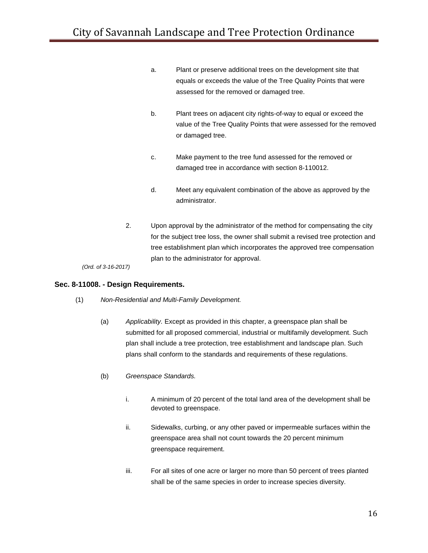- a. Plant or preserve additional trees on the development site that equals or exceeds the value of the Tree Quality Points that were assessed for the removed or damaged tree.
- b. Plant trees on adjacent city rights-of-way to equal or exceed the value of the Tree Quality Points that were assessed for the removed or damaged tree.
- c. Make payment to the tree fund assessed for the removed or damaged tree in accordance with section 8-110012.
- d. Meet any equivalent combination of the above as approved by the administrator.
- 2. Upon approval by the administrator of the method for compensating the city for the subject tree loss, the owner shall submit a revised tree protection and tree establishment plan which incorporates the approved tree compensation plan to the administrator for approval.

## **Sec. 8-11008. - Design Requirements.**

- (1) *Non-Residential and Multi-Family Development.*
	- (a) *Applicability.* Except as provided in this chapter, a greenspace plan shall be submitted for all proposed commercial, industrial or multifamily development. Such plan shall include a tree protection, tree establishment and landscape plan. Such plans shall conform to the standards and requirements of these regulations.
	- (b) *Greenspace Standards.*
		- i. A minimum of 20 percent of the total land area of the development shall be devoted to greenspace.
		- ii. Sidewalks, curbing, or any other paved or impermeable surfaces within the greenspace area shall not count towards the 20 percent minimum greenspace requirement.
		- iii. For all sites of one acre or larger no more than 50 percent of trees planted shall be of the same species in order to increase species diversity.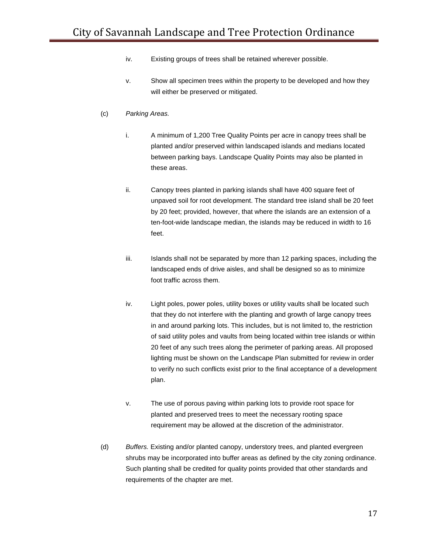- iv. Existing groups of trees shall be retained wherever possible.
- v. Show all specimen trees within the property to be developed and how they will either be preserved or mitigated.

# (c) *Parking Areas.*

- i. A minimum of 1,200 Tree Quality Points per acre in canopy trees shall be planted and/or preserved within landscaped islands and medians located between parking bays. Landscape Quality Points may also be planted in these areas.
- ii. Canopy trees planted in parking islands shall have 400 square feet of unpaved soil for root development. The standard tree island shall be 20 feet by 20 feet; provided, however, that where the islands are an extension of a ten-foot-wide landscape median, the islands may be reduced in width to 16 feet.
- iii. Islands shall not be separated by more than 12 parking spaces, including the landscaped ends of drive aisles, and shall be designed so as to minimize foot traffic across them.
- iv. Light poles, power poles, utility boxes or utility vaults shall be located such that they do not interfere with the planting and growth of large canopy trees in and around parking lots. This includes, but is not limited to, the restriction of said utility poles and vaults from being located within tree islands or within 20 feet of any such trees along the perimeter of parking areas. All proposed lighting must be shown on the Landscape Plan submitted for review in order to verify no such conflicts exist prior to the final acceptance of a development plan.
- v. The use of porous paving within parking lots to provide root space for planted and preserved trees to meet the necessary rooting space requirement may be allowed at the discretion of the administrator.
- (d) *Buffers.* Existing and/or planted canopy, understory trees, and planted evergreen shrubs may be incorporated into buffer areas as defined by the city zoning ordinance. Such planting shall be credited for quality points provided that other standards and requirements of the chapter are met.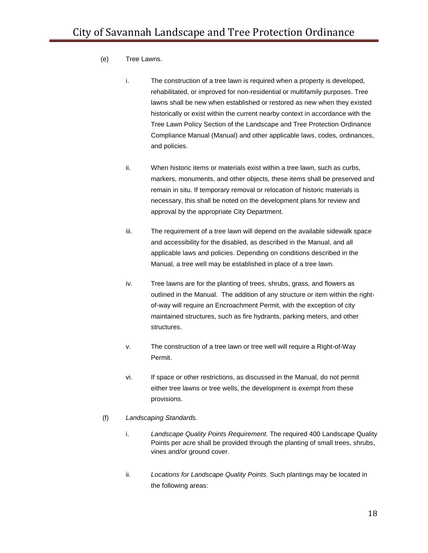- (e) Tree Lawns.
	- i. The construction of a tree lawn is required when a property is developed, rehabilitated, or improved for non-residential or multifamily purposes. Tree lawns shall be new when established or restored as new when they existed historically or exist within the current nearby context in accordance with the Tree Lawn Policy Section of the Landscape and Tree Protection Ordinance Compliance Manual (Manual) and other applicable laws, codes, ordinances, and policies.
	- ii. When historic items or materials exist within a tree lawn, such as curbs, markers, monuments, and other objects, these items shall be preserved and remain in situ. If temporary removal or relocation of historic materials is necessary, this shall be noted on the development plans for review and approval by the appropriate City Department.
	- iii. The requirement of a tree lawn will depend on the available sidewalk space and accessibility for the disabled, as described in the Manual, and all applicable laws and policies. Depending on conditions described in the Manual, a tree well may be established in place of a tree lawn.
	- iv. Tree lawns are for the planting of trees, shrubs, grass, and flowers as outlined in the Manual. The addition of any structure or item within the rightof-way will require an Encroachment Permit, with the exception of city maintained structures, such as fire hydrants, parking meters, and other structures.
	- v. The construction of a tree lawn or tree well will require a Right-of-Way Permit.
	- vi. If space or other restrictions, as discussed in the Manual, do not permit either tree lawns or tree wells, the development is exempt from these provisions.
- (f) *Landscaping Standards.*
	- i. *Landscape Quality Points Requirement.* The required 400 Landscape Quality Points per acre shall be provided through the planting of small trees, shrubs, vines and/or ground cover.
	- ii. *Locations for Landscape Quality Points.* Such plantings may be located in the following areas: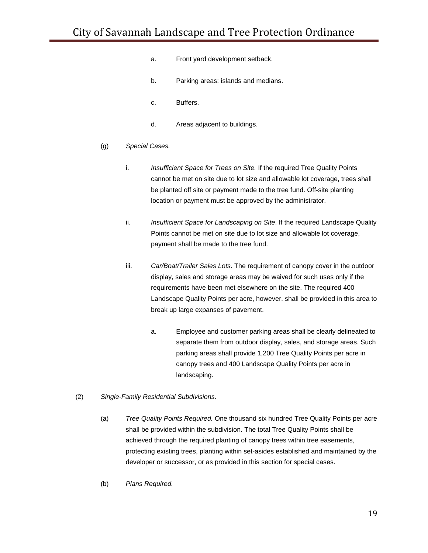- a. Front yard development setback.
- b. Parking areas: islands and medians.
- c. Buffers.
- d. Areas adjacent to buildings.
- (g) *Special Cases.*
	- i. *Insufficient Space for Trees on Site.* If the required Tree Quality Points cannot be met on site due to lot size and allowable lot coverage, trees shall be planted off site or payment made to the tree fund. Off-site planting location or payment must be approved by the administrator.
	- ii. *Insufficient Space for Landscaping on Site*. If the required Landscape Quality Points cannot be met on site due to lot size and allowable lot coverage, payment shall be made to the tree fund.
	- iii. *Car/Boat/Trailer Sales Lots.* The requirement of canopy cover in the outdoor display, sales and storage areas may be waived for such uses only if the requirements have been met elsewhere on the site. The required 400 Landscape Quality Points per acre, however, shall be provided in this area to break up large expanses of pavement.
		- a. Employee and customer parking areas shall be clearly delineated to separate them from outdoor display, sales, and storage areas. Such parking areas shall provide 1,200 Tree Quality Points per acre in canopy trees and 400 Landscape Quality Points per acre in landscaping.
- (2) *Single-Family Residential Subdivisions.*
	- (a) *Tree Quality Points Required.* One thousand six hundred Tree Quality Points per acre shall be provided within the subdivision. The total Tree Quality Points shall be achieved through the required planting of canopy trees within tree easements, protecting existing trees, planting within set-asides established and maintained by the developer or successor, or as provided in this section for special cases.
	- (b) *Plans Required.*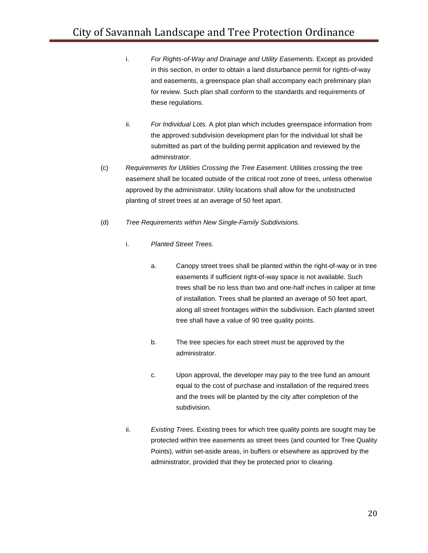- i. *For Rights-of-Way and Drainage and Utility Easements.* Except as provided in this section, in order to obtain a land disturbance permit for rights-of-way and easements, a greenspace plan shall accompany each preliminary plan for review. Such plan shall conform to the standards and requirements of these regulations.
- ii. *For Individual Lots.* A plot plan which includes greenspace information from the approved subdivision development plan for the individual lot shall be submitted as part of the building permit application and reviewed by the administrator.
- (c) *Requirements for Utilities Crossing the Tree Easement.* Utilities crossing the tree easement shall be located outside of the critical root zone of trees, unless otherwise approved by the administrator. Utility locations shall allow for the unobstructed planting of street trees at an average of 50 feet apart.
- (d) *Tree Requirements within New Single-Family Subdivisions.*
	- i. *Planted Street Trees.*
		- a. Canopy street trees shall be planted within the right-of-way or in tree easements if sufficient right-of-way space is not available. Such trees shall be no less than two and one-half inches in caliper at time of installation. Trees shall be planted an average of 50 feet apart, along all street frontages within the subdivision. Each planted street tree shall have a value of 90 tree quality points.
		- b. The tree species for each street must be approved by the administrator.
		- c. Upon approval, the developer may pay to the tree fund an amount equal to the cost of purchase and installation of the required trees and the trees will be planted by the city after completion of the subdivision.
	- ii. *Existing Trees.* Existing trees for which tree quality points are sought may be protected within tree easements as street trees (and counted for Tree Quality Points), within set-aside areas, in buffers or elsewhere as approved by the administrator, provided that they be protected prior to clearing.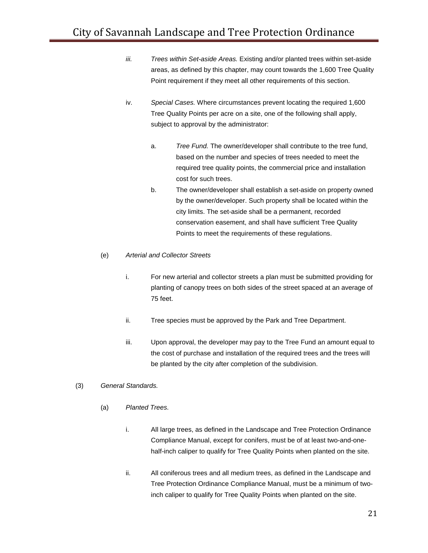- *iii. Trees within Set-aside Areas.* Existing and/or planted trees within set-aside areas, as defined by this chapter, may count towards the 1,600 Tree Quality Point requirement if they meet all other requirements of this section.
- iv. *Special Cases.* Where circumstances prevent locating the required 1,600 Tree Quality Points per acre on a site, one of the following shall apply, subject to approval by the administrator:
	- a. *Tree Fund.* The owner/developer shall contribute to the tree fund, based on the number and species of trees needed to meet the required tree quality points, the commercial price and installation cost for such trees.
	- b. The owner/developer shall establish a set-aside on property owned by the owner/developer. Such property shall be located within the city limits. The set-aside shall be a permanent, recorded conservation easement, and shall have sufficient Tree Quality Points to meet the requirements of these regulations.

#### (e) *Arterial and Collector Streets*

- i. For new arterial and collector streets a plan must be submitted providing for planting of canopy trees on both sides of the street spaced at an average of 75 feet.
- ii. Tree species must be approved by the Park and Tree Department.
- iii. Upon approval, the developer may pay to the Tree Fund an amount equal to the cost of purchase and installation of the required trees and the trees will be planted by the city after completion of the subdivision.

## (3) *General Standards.*

- (a) *Planted Trees.*
	- i. All large trees, as defined in the Landscape and Tree Protection Ordinance Compliance Manual, except for conifers, must be of at least two-and-onehalf-inch caliper to qualify for Tree Quality Points when planted on the site.
	- ii. All coniferous trees and all medium trees, as defined in the Landscape and Tree Protection Ordinance Compliance Manual, must be a minimum of twoinch caliper to qualify for Tree Quality Points when planted on the site.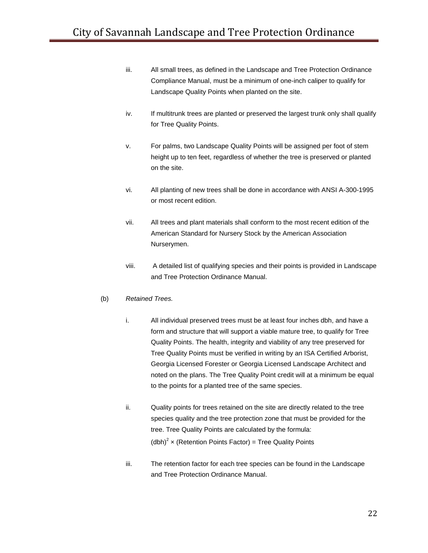- iii. All small trees, as defined in the Landscape and Tree Protection Ordinance Compliance Manual, must be a minimum of one-inch caliper to qualify for Landscape Quality Points when planted on the site.
- iv. If multitrunk trees are planted or preserved the largest trunk only shall qualify for Tree Quality Points.
- v. For palms, two Landscape Quality Points will be assigned per foot of stem height up to ten feet, regardless of whether the tree is preserved or planted on the site.
- vi. All planting of new trees shall be done in accordance with ANSI A-300-1995 or most recent edition.
- vii. All trees and plant materials shall conform to the most recent edition of the American Standard for Nursery Stock by the American Association Nurserymen.
- viii. A detailed list of qualifying species and their points is provided in Landscape and Tree Protection Ordinance Manual.

## (b) *Retained Trees.*

- i. All individual preserved trees must be at least four inches dbh, and have a form and structure that will support a viable mature tree, to qualify for Tree Quality Points. The health, integrity and viability of any tree preserved for Tree Quality Points must be verified in writing by an ISA Certified Arborist, Georgia Licensed Forester or Georgia Licensed Landscape Architect and noted on the plans. The Tree Quality Point credit will at a minimum be equal to the points for a planted tree of the same species.
- ii. Quality points for trees retained on the site are directly related to the tree species quality and the tree protection zone that must be provided for the tree. Tree Quality Points are calculated by the formula: (dbh)<sup>2</sup> x (Retention Points Factor) = Tree Quality Points
- iii. The retention factor for each tree species can be found in the Landscape and Tree Protection Ordinance Manual.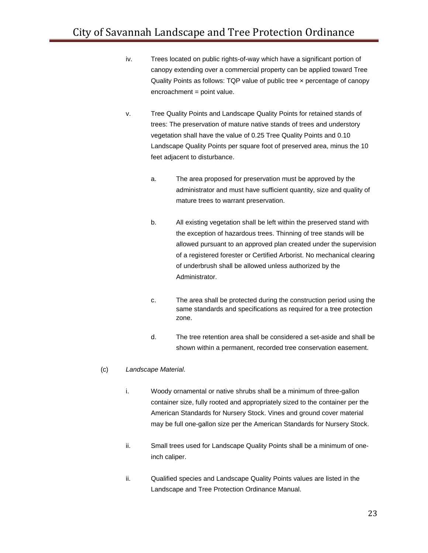- iv. Trees located on public rights-of-way which have a significant portion of canopy extending over a commercial property can be applied toward Tree Quality Points as follows: TQP value of public tree × percentage of canopy encroachment = point value.
- v. Tree Quality Points and Landscape Quality Points for retained stands of trees: The preservation of mature native stands of trees and understory vegetation shall have the value of 0.25 Tree Quality Points and 0.10 Landscape Quality Points per square foot of preserved area, minus the 10 feet adjacent to disturbance.
	- a. The area proposed for preservation must be approved by the administrator and must have sufficient quantity, size and quality of mature trees to warrant preservation.
	- b. All existing vegetation shall be left within the preserved stand with the exception of hazardous trees. Thinning of tree stands will be allowed pursuant to an approved plan created under the supervision of a registered forester or Certified Arborist. No mechanical clearing of underbrush shall be allowed unless authorized by the Administrator.
	- c. The area shall be protected during the construction period using the same standards and specifications as required for a tree protection zone.
	- d. The tree retention area shall be considered a set-aside and shall be shown within a permanent, recorded tree conservation easement.

## (c) *Landscape Material.*

- i. Woody ornamental or native shrubs shall be a minimum of three-gallon container size, fully rooted and appropriately sized to the container per the American Standards for Nursery Stock. Vines and ground cover material may be full one-gallon size per the American Standards for Nursery Stock.
- ii. Small trees used for Landscape Quality Points shall be a minimum of oneinch caliper.
- ii. Qualified species and Landscape Quality Points values are listed in the Landscape and Tree Protection Ordinance Manual.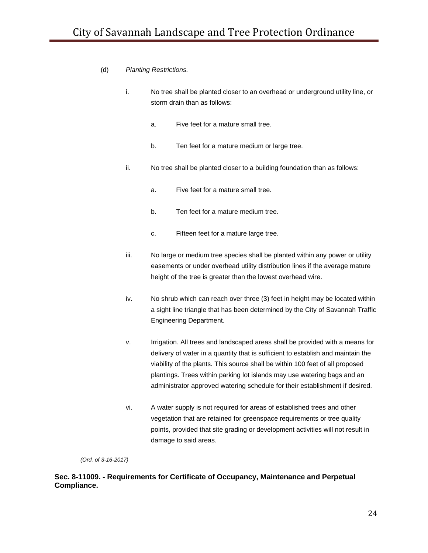# (d) *Planting Restrictions.*

- i. No tree shall be planted closer to an overhead or underground utility line, or storm drain than as follows:
	- a. Five feet for a mature small tree.
	- b. Ten feet for a mature medium or large tree.
- ii. No tree shall be planted closer to a building foundation than as follows:
	- a. Five feet for a mature small tree.
	- b. Ten feet for a mature medium tree.
	- c. Fifteen feet for a mature large tree.
- iii. No large or medium tree species shall be planted within any power or utility easements or under overhead utility distribution lines if the average mature height of the tree is greater than the lowest overhead wire.
- iv. No shrub which can reach over three (3) feet in height may be located within a sight line triangle that has been determined by the City of Savannah Traffic Engineering Department.
- v. Irrigation. All trees and landscaped areas shall be provided with a means for delivery of water in a quantity that is sufficient to establish and maintain the viability of the plants. This source shall be within 100 feet of all proposed plantings. Trees within parking lot islands may use watering bags and an administrator approved watering schedule for their establishment if desired.
- vi. A water supply is not required for areas of established trees and other vegetation that are retained for greenspace requirements or tree quality points, provided that site grading or development activities will not result in damage to said areas.

*(Ord. of 3-16-2017)*

# **Sec. 8-11009. - Requirements for Certificate of Occupancy, Maintenance and Perpetual Compliance.**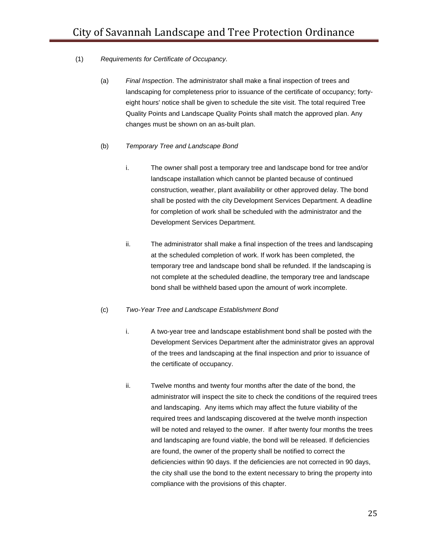# (1) *Requirements for Certificate of Occupancy.*

(a) *Final Inspection*. The administrator shall make a final inspection of trees and landscaping for completeness prior to issuance of the certificate of occupancy; fortyeight hours' notice shall be given to schedule the site visit. The total required Tree Quality Points and Landscape Quality Points shall match the approved plan. Any changes must be shown on an as-built plan.

# (b) *Temporary Tree and Landscape Bond*

- i. The owner shall post a temporary tree and landscape bond for tree and/or landscape installation which cannot be planted because of continued construction, weather, plant availability or other approved delay. The bond shall be posted with the city Development Services Department. A deadline for completion of work shall be scheduled with the administrator and the Development Services Department.
- ii. The administrator shall make a final inspection of the trees and landscaping at the scheduled completion of work. If work has been completed, the temporary tree and landscape bond shall be refunded. If the landscaping is not complete at the scheduled deadline, the temporary tree and landscape bond shall be withheld based upon the amount of work incomplete.

## (c) *Two-Year Tree and Landscape Establishment Bond*

- i. A two-year tree and landscape establishment bond shall be posted with the Development Services Department after the administrator gives an approval of the trees and landscaping at the final inspection and prior to issuance of the certificate of occupancy.
- ii. Twelve months and twenty four months after the date of the bond, the administrator will inspect the site to check the conditions of the required trees and landscaping. Any items which may affect the future viability of the required trees and landscaping discovered at the twelve month inspection will be noted and relayed to the owner. If after twenty four months the trees and landscaping are found viable, the bond will be released. If deficiencies are found, the owner of the property shall be notified to correct the deficiencies within 90 days. If the deficiencies are not corrected in 90 days, the city shall use the bond to the extent necessary to bring the property into compliance with the provisions of this chapter.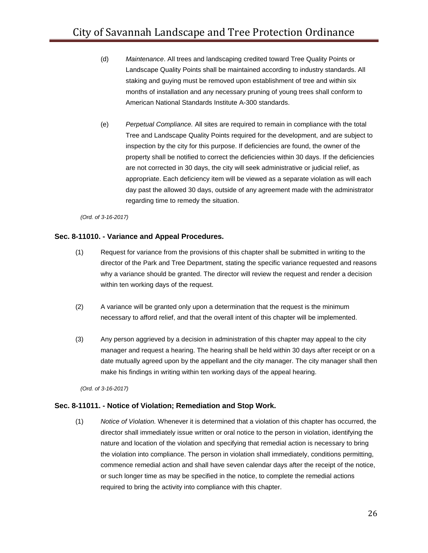- (d) *Maintenance*. All trees and landscaping credited toward Tree Quality Points or Landscape Quality Points shall be maintained according to industry standards. All staking and guying must be removed upon establishment of tree and within six months of installation and any necessary pruning of young trees shall conform to American National Standards Institute A-300 standards.
- (e) *Perpetual Compliance.* All sites are required to remain in compliance with the total Tree and Landscape Quality Points required for the development, and are subject to inspection by the city for this purpose. If deficiencies are found, the owner of the property shall be notified to correct the deficiencies within 30 days. If the deficiencies are not corrected in 30 days, the city will seek administrative or judicial relief, as appropriate. Each deficiency item will be viewed as a separate violation as will each day past the allowed 30 days, outside of any agreement made with the administrator regarding time to remedy the situation.

#### **Sec. 8-11010. - Variance and Appeal Procedures.**

- (1) Request for variance from the provisions of this chapter shall be submitted in writing to the director of the Park and Tree Department, stating the specific variance requested and reasons why a variance should be granted. The director will review the request and render a decision within ten working days of the request.
- (2) A variance will be granted only upon a determination that the request is the minimum necessary to afford relief, and that the overall intent of this chapter will be implemented.
- (3) Any person aggrieved by a decision in administration of this chapter may appeal to the city manager and request a hearing. The hearing shall be held within 30 days after receipt or on a date mutually agreed upon by the appellant and the city manager. The city manager shall then make his findings in writing within ten working days of the appeal hearing.

*(Ord. of 3-16-2017)*

## **Sec. 8-11011. - Notice of Violation; Remediation and Stop Work.**

(1) *Notice of Violation.* Whenever it is determined that a violation of this chapter has occurred, the director shall immediately issue written or oral notice to the person in violation, identifying the nature and location of the violation and specifying that remedial action is necessary to bring the violation into compliance. The person in violation shall immediately, conditions permitting, commence remedial action and shall have seven calendar days after the receipt of the notice, or such longer time as may be specified in the notice, to complete the remedial actions required to bring the activity into compliance with this chapter.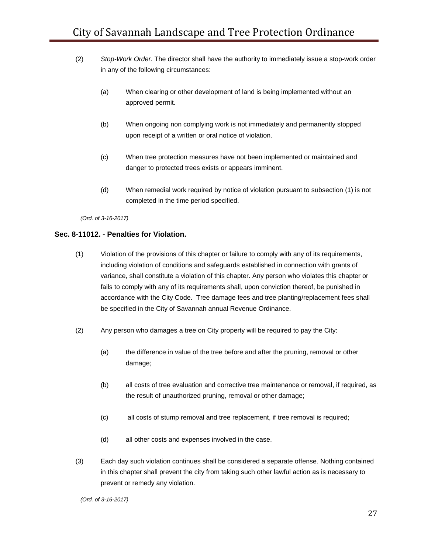- (2) *Stop-Work Order.* The director shall have the authority to immediately issue a stop-work order in any of the following circumstances:
	- (a) When clearing or other development of land is being implemented without an approved permit.
	- (b) When ongoing non complying work is not immediately and permanently stopped upon receipt of a written or oral notice of violation.
	- (c) When tree protection measures have not been implemented or maintained and danger to protected trees exists or appears imminent.
	- (d) When remedial work required by notice of violation pursuant to subsection (1) is not completed in the time period specified.

## **Sec. 8-11012. - Penalties for Violation.**

- (1) Violation of the provisions of this chapter or failure to comply with any of its requirements, including violation of conditions and safeguards established in connection with grants of variance, shall constitute a violation of this chapter. Any person who violates this chapter or fails to comply with any of its requirements shall, upon conviction thereof, be punished in accordance with the City Code. Tree damage fees and tree planting/replacement fees shall be specified in the City of Savannah annual Revenue Ordinance.
- (2) Any person who damages a tree on City property will be required to pay the City:
	- (a) the difference in value of the tree before and after the pruning, removal or other damage;
	- (b) all costs of tree evaluation and corrective tree maintenance or removal, if required, as the result of unauthorized pruning, removal or other damage;
	- (c) all costs of stump removal and tree replacement, if tree removal is required;
	- (d) all other costs and expenses involved in the case.
- (3) Each day such violation continues shall be considered a separate offense. Nothing contained in this chapter shall prevent the city from taking such other lawful action as is necessary to prevent or remedy any violation.

*(Ord. of 3-16-2017)*